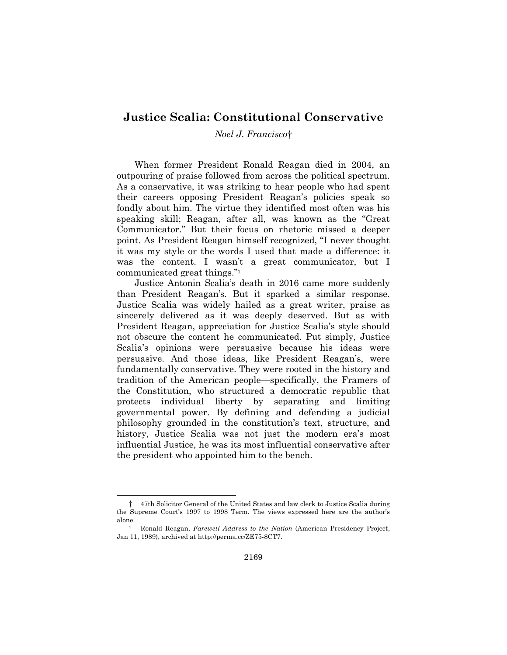## **Justice Scalia: Constitutional Conservative**

## *Noel J. Francisco*†

When former President Ronald Reagan died in 2004, an outpouring of praise followed from across the political spectrum. As a conservative, it was striking to hear people who had spent their careers opposing President Reagan's policies speak so fondly about him. The virtue they identified most often was his speaking skill; Reagan, after all, was known as the "Great Communicator." But their focus on rhetoric missed a deeper point. As President Reagan himself recognized, "I never thought it was my style or the words I used that made a difference: it was the content. I wasn't a great communicator, but I communicated great things."1

Justice Antonin Scalia's death in 2016 came more suddenly than President Reagan's. But it sparked a similar response. Justice Scalia was widely hailed as a great writer, praise as sincerely delivered as it was deeply deserved. But as with President Reagan, appreciation for Justice Scalia's style should not obscure the content he communicated. Put simply, Justice Scalia's opinions were persuasive because his ideas were persuasive. And those ideas, like President Reagan's, were fundamentally conservative. They were rooted in the history and tradition of the American people—specifically, the Framers of the Constitution, who structured a democratic republic that protects individual liberty by separating and limiting governmental power. By defining and defending a judicial philosophy grounded in the constitution's text, structure, and history, Justice Scalia was not just the modern era's most influential Justice, he was its most influential conservative after the president who appointed him to the bench.

 <sup>† 47</sup>th Solicitor General of the United States and law clerk to Justice Scalia during the Supreme Court's 1997 to 1998 Term. The views expressed here are the author's alone.

<sup>1</sup> Ronald Reagan, *Farewell Address to the Nation* (American Presidency Project, Jan 11, 1989), archived at http://perma.cc/ZE75-8CT7.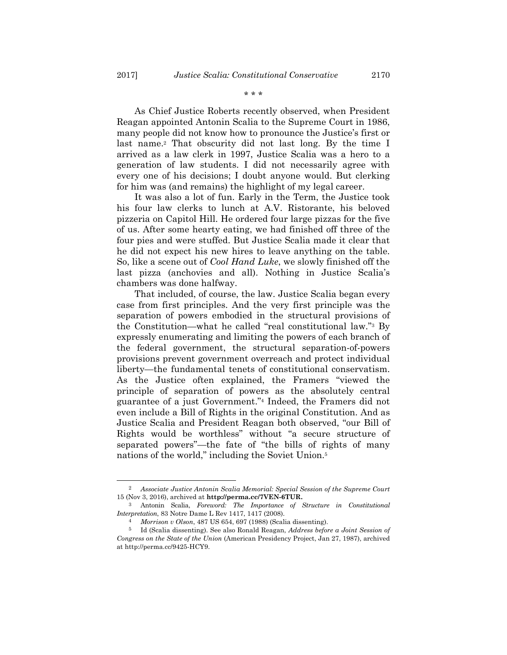As Chief Justice Roberts recently observed, when President Reagan appointed Antonin Scalia to the Supreme Court in 1986, many people did not know how to pronounce the Justice's first or last name.<sup>2</sup> That obscurity did not last long. By the time I arrived as a law clerk in 1997, Justice Scalia was a hero to a generation of law students. I did not necessarily agree with

every one of his decisions; I doubt anyone would. But clerking

for him was (and remains) the highlight of my legal career. It was also a lot of fun. Early in the Term, the Justice took his four law clerks to lunch at A.V. Ristorante, his beloved pizzeria on Capitol Hill. He ordered four large pizzas for the five of us. After some hearty eating, we had finished off three of the four pies and were stuffed. But Justice Scalia made it clear that he did not expect his new hires to leave anything on the table. So, like a scene out of *Cool Hand Luke*, we slowly finished off the last pizza (anchovies and all). Nothing in Justice Scalia's chambers was done halfway.

That included, of course, the law. Justice Scalia began every case from first principles. And the very first principle was the separation of powers embodied in the structural provisions of the Constitution—what he called "real constitutional law."3 By expressly enumerating and limiting the powers of each branch of the federal government, the structural separation-of-powers provisions prevent government overreach and protect individual liberty—the fundamental tenets of constitutional conservatism. As the Justice often explained, the Framers "viewed the principle of separation of powers as the absolutely central guarantee of a just Government."4 Indeed, the Framers did not even include a Bill of Rights in the original Constitution. And as Justice Scalia and President Reagan both observed, "our Bill of Rights would be worthless" without "a secure structure of separated powers"—the fate of "the bills of rights of many nations of the world," including the Soviet Union.<sup>5</sup>

 <sup>2</sup> *Associate Justice Antonin Scalia Memorial: Special Session of the Supreme Court* 15 (Nov 3, 2016), archived at **http://perma.cc/7VEN-6TUR.** 

<sup>3</sup> Antonin Scalia, *Foreword: The Importance of Structure in Constitutional Interpretation*, 83 Notre Dame L Rev 1417, 1417 (2008).

<sup>4</sup> *Morrison v Olson*, 487 US 654, 697 (1988) (Scalia dissenting).

<sup>5</sup> Id (Scalia dissenting). See also Ronald Reagan, *Address before a Joint Session of Congress on the State of the Union* (American Presidency Project, Jan 27, 1987), archived at http://perma.cc/9425-HCY9.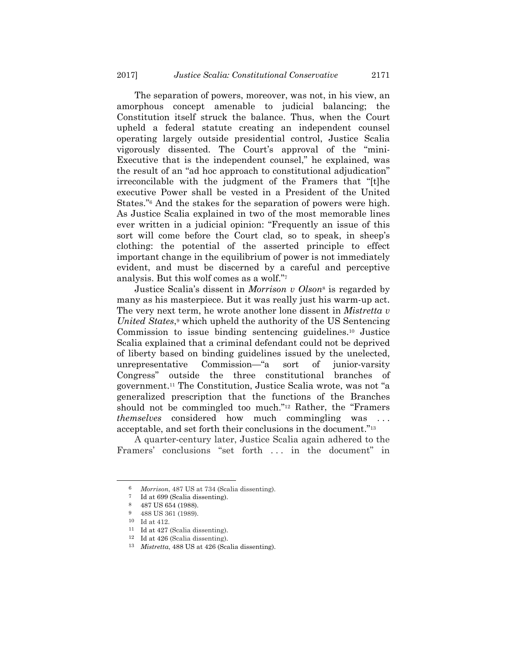The separation of powers, moreover, was not, in his view, an amorphous concept amenable to judicial balancing; the Constitution itself struck the balance. Thus, when the Court upheld a federal statute creating an independent counsel operating largely outside presidential control, Justice Scalia vigorously dissented. The Court's approval of the "mini-Executive that is the independent counsel," he explained, was the result of an "ad hoc approach to constitutional adjudication" irreconcilable with the judgment of the Framers that "[t]he executive Power shall be vested in a President of the United States."6 And the stakes for the separation of powers were high. As Justice Scalia explained in two of the most memorable lines ever written in a judicial opinion: "Frequently an issue of this sort will come before the Court clad, so to speak, in sheep's clothing: the potential of the asserted principle to effect important change in the equilibrium of power is not immediately evident, and must be discerned by a careful and perceptive analysis. But this wolf comes as a wolf."7

Justice Scalia's dissent in *Morrison v Olson*8 is regarded by many as his masterpiece. But it was really just his warm-up act. The very next term, he wrote another lone dissent in *Mistretta v United States*,<sup>9</sup> which upheld the authority of the US Sentencing Commission to issue binding sentencing guidelines.10 Justice Scalia explained that a criminal defendant could not be deprived of liberty based on binding guidelines issued by the unelected, unrepresentative Commission—"a sort of junior-varsity Congress" outside the three constitutional branches of government.11 The Constitution, Justice Scalia wrote, was not "a generalized prescription that the functions of the Branches should not be commingled too much."12 Rather, the "Framers *themselves* considered how much commingling was acceptable, and set forth their conclusions in the document."13

A quarter-century later, Justice Scalia again adhered to the Framers' conclusions "set forth . . . in the document" in

 <sup>6</sup> *Morrison*, 487 US at 734 (Scalia dissenting).

<sup>7</sup> Id at 699 (Scalia dissenting).

<sup>8 487</sup> US 654 (1988).

<sup>9 488</sup> US 361 (1989).

<sup>10</sup> Id at 412.

<sup>11</sup> Id at 427 (Scalia dissenting).

<sup>12</sup> Id at 426 (Scalia dissenting). 13 *Mistretta*, 488 US at 426 (Scalia dissenting).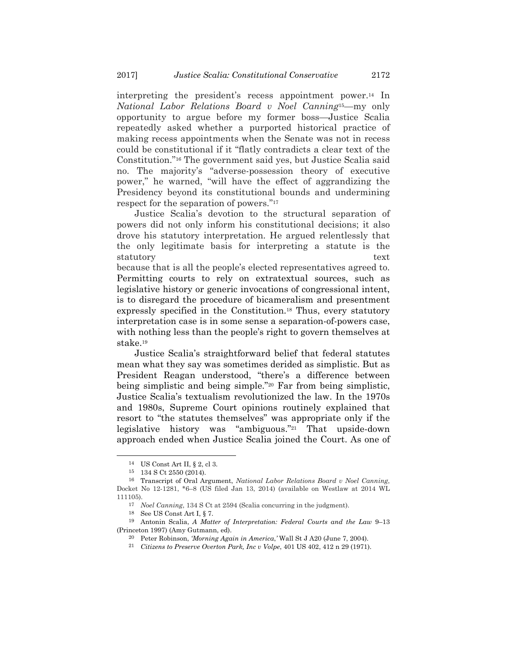interpreting the president's recess appointment power.14 In *National Labor Relations Board v Noel Canning*15—my only opportunity to argue before my former boss—Justice Scalia repeatedly asked whether a purported historical practice of making recess appointments when the Senate was not in recess could be constitutional if it "flatly contradicts a clear text of the Constitution."16 The government said yes, but Justice Scalia said no. The majority's "adverse-possession theory of executive power," he warned, "will have the effect of aggrandizing the Presidency beyond its constitutional bounds and undermining respect for the separation of powers."17

Justice Scalia's devotion to the structural separation of powers did not only inform his constitutional decisions; it also drove his statutory interpretation. He argued relentlessly that the only legitimate basis for interpreting a statute is the statutory text

because that is all the people's elected representatives agreed to. Permitting courts to rely on extratextual sources, such as legislative history or generic invocations of congressional intent, is to disregard the procedure of bicameralism and presentment expressly specified in the Constitution.18 Thus, every statutory interpretation case is in some sense a separation-of-powers case, with nothing less than the people's right to govern themselves at stake.19

Justice Scalia's straightforward belief that federal statutes mean what they say was sometimes derided as simplistic. But as President Reagan understood, "there's a difference between being simplistic and being simple."20 Far from being simplistic, Justice Scalia's textualism revolutionized the law. In the 1970s and 1980s, Supreme Court opinions routinely explained that resort to "the statutes themselves" was appropriate only if the legislative history was "ambiguous."21 That upside-down approach ended when Justice Scalia joined the Court. As one of

 <sup>14</sup> US Const Art II, § 2, cl 3.

<sup>15 134</sup> S Ct 2550 (2014).

<sup>16</sup> Transcript of Oral Argument, *National Labor Relations Board v Noel Canning*, Docket No 12-1281, \*6–8 (US filed Jan 13, 2014) (available on Westlaw at 2014 WL 111105).

<sup>17</sup> *Noel Canning*, 134 S Ct at 2594 (Scalia concurring in the judgment).

<sup>18</sup> See US Const Art I, § 7.

<sup>19</sup> Antonin Scalia, *A Matter of Interpretation: Federal Courts and the Law* 9–13 (Princeton 1997) (Amy Gutmann, ed).

<sup>20</sup> Peter Robinson, *'Morning Again in America*,*'* Wall St J A20 (June 7, 2004). 21 *Citizens to Preserve Overton Park, Inc v Volpe*, 401 US 402, 412 n 29 (1971).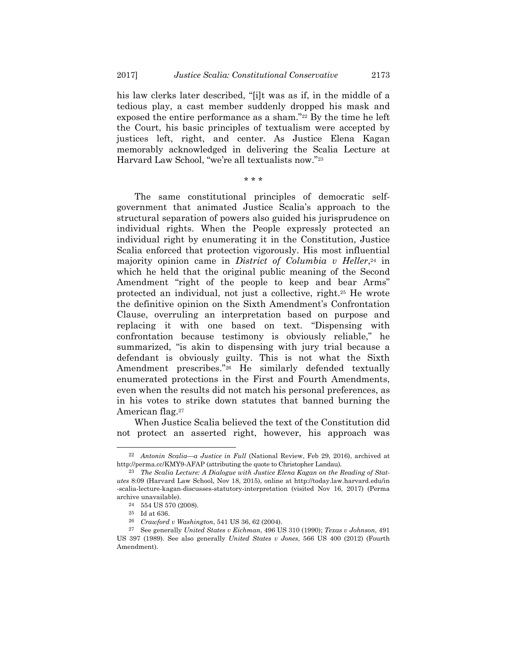his law clerks later described, "[i]t was as if, in the middle of a tedious play, a cast member suddenly dropped his mask and exposed the entire performance as a sham."<sup>22</sup> By the time he left the Court, his basic principles of textualism were accepted by justices left, right, and center. As Justice Elena Kagan memorably acknowledged in delivering the Scalia Lecture at Harvard Law School, "we're all textualists now."23

\* \* \*

The same constitutional principles of democratic selfgovernment that animated Justice Scalia's approach to the structural separation of powers also guided his jurisprudence on individual rights. When the People expressly protected an individual right by enumerating it in the Constitution, Justice Scalia enforced that protection vigorously. His most influential majority opinion came in *District of Columbia v Heller*,<sup>24</sup> in which he held that the original public meaning of the Second Amendment "right of the people to keep and bear Arms" protected an individual, not just a collective, right.25 He wrote the definitive opinion on the Sixth Amendment's Confrontation Clause, overruling an interpretation based on purpose and replacing it with one based on text. "Dispensing with confrontation because testimony is obviously reliable," he summarized, "is akin to dispensing with jury trial because a defendant is obviously guilty. This is not what the Sixth Amendment prescribes."26 He similarly defended textually enumerated protections in the First and Fourth Amendments, even when the results did not match his personal preferences, as in his votes to strike down statutes that banned burning the American flag.27

When Justice Scalia believed the text of the Constitution did not protect an asserted right, however, his approach was

 <sup>22</sup> *Antonin Scalia—a Justice in Full* (National Review, Feb 29, 2016), archived at http://perma.cc/KMY9-AFAP (attributing the quote to Christopher Landau).

<sup>23</sup> *The Scalia Lecture: A Dialogue with Justice Elena Kagan on the Reading of Statutes* 8:09 (Harvard Law School, Nov 18, 2015), online at http://today.law.harvard.edu/in -scalia-lecture-kagan-discusses-statutory-interpretation (visited Nov 16, 2017) (Perma archive unavailable).

 $^{24}\,$  –554 US 570 (2008).

<sup>25</sup> Id at 636.

<sup>26</sup> *Crawford v Washington*, 541 US 36, 62 (2004).

<sup>27</sup> See generally *United States v Eichman*, 496 US 310 (1990); *Texas v Johnson*, 491 US 397 (1989). See also generally *United States v Jones*, 566 US 400 (2012) (Fourth Amendment).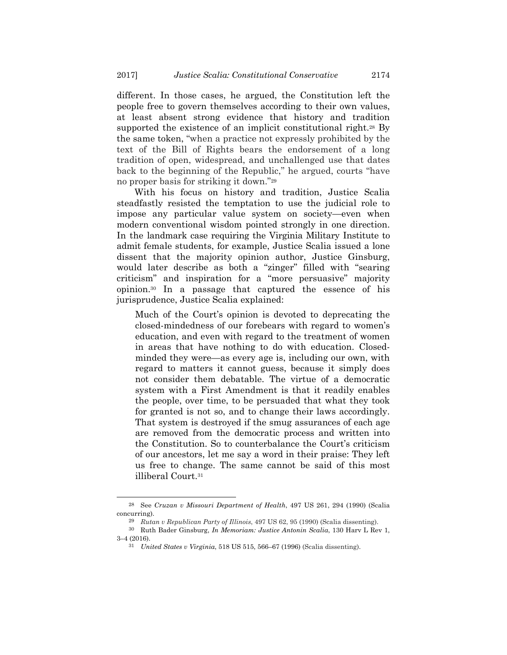different. In those cases, he argued, the Constitution left the people free to govern themselves according to their own values, at least absent strong evidence that history and tradition supported the existence of an implicit constitutional right.<sup>28</sup> By the same token, "when a practice not expressly prohibited by the text of the Bill of Rights bears the endorsement of a long tradition of open, widespread, and unchallenged use that dates back to the beginning of the Republic," he argued, courts "have no proper basis for striking it down."29

With his focus on history and tradition, Justice Scalia steadfastly resisted the temptation to use the judicial role to impose any particular value system on society—even when modern conventional wisdom pointed strongly in one direction. In the landmark case requiring the Virginia Military Institute to admit female students, for example, Justice Scalia issued a lone dissent that the majority opinion author, Justice Ginsburg, would later describe as both a "zinger" filled with "searing criticism" and inspiration for a "more persuasive" majority opinion.30 In a passage that captured the essence of his jurisprudence, Justice Scalia explained:

Much of the Court's opinion is devoted to deprecating the closed-mindedness of our forebears with regard to women's education, and even with regard to the treatment of women in areas that have nothing to do with education. Closedminded they were—as every age is, including our own, with regard to matters it cannot guess, because it simply does not consider them debatable. The virtue of a democratic system with a First Amendment is that it readily enables the people, over time, to be persuaded that what they took for granted is not so, and to change their laws accordingly. That system is destroyed if the smug assurances of each age are removed from the democratic process and written into the Constitution. So to counterbalance the Court's criticism of our ancestors, let me say a word in their praise: They left us free to change. The same cannot be said of this most illiberal Court.31

 <sup>28</sup> See *Cruzan v Missouri Department of Health*, 497 US 261, 294 (1990) (Scalia concurring).

<sup>29</sup> *Rutan v Republican Party of Illinois*, 497 US 62, 95 (1990) (Scalia dissenting).

<sup>30</sup> Ruth Bader Ginsburg, *In Memoriam: Justice Antonin Scalia*, 130 Harv L Rev 1, 3–4 (2016).

<sup>31</sup> *United States v Virginia*, 518 US 515, 566–67 (1996) (Scalia dissenting).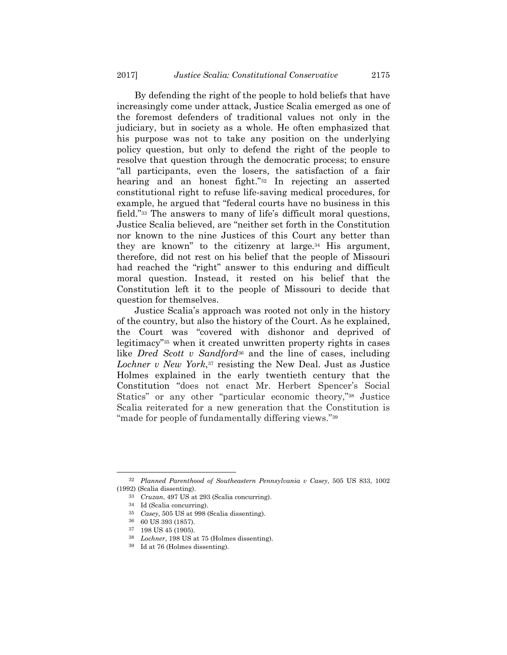By defending the right of the people to hold beliefs that have increasingly come under attack, Justice Scalia emerged as one of the foremost defenders of traditional values not only in the judiciary, but in society as a whole. He often emphasized that his purpose was not to take any position on the underlying policy question, but only to defend the right of the people to resolve that question through the democratic process; to ensure "all participants, even the losers, the satisfaction of a fair hearing and an honest fight."32 In rejecting an asserted constitutional right to refuse life-saving medical procedures, for example, he argued that "federal courts have no business in this field."33 The answers to many of life's difficult moral questions, Justice Scalia believed, are "neither set forth in the Constitution nor known to the nine Justices of this Court any better than they are known" to the citizenry at large.<sup>34</sup> His argument, therefore, did not rest on his belief that the people of Missouri had reached the "right" answer to this enduring and difficult moral question. Instead, it rested on his belief that the Constitution left it to the people of Missouri to decide that question for themselves.

Justice Scalia's approach was rooted not only in the history of the country, but also the history of the Court. As he explained, the Court was "covered with dishonor and deprived of legitimacy"35 when it created unwritten property rights in cases like *Dred Scott v Sandford*36 and the line of cases, including *Lochner v New York*,37 resisting the New Deal. Just as Justice Holmes explained in the early twentieth century that the Constitution "does not enact Mr. Herbert Spencer's Social Statics" or any other "particular economic theory,"38 Justice Scalia reiterated for a new generation that the Constitution is "made for people of fundamentally differing views."39

 <sup>32</sup> *Planned Parenthood of Southeastern Pennsylvania v Casey*, 505 US 833, 1002 (1992) (Scalia dissenting).

<sup>33</sup> *Cruzan*, 497 US at 293 (Scalia concurring).

<sup>34</sup> Id (Scalia concurring).

<sup>35</sup> *Casey*, 505 US at 998 (Scalia dissenting). 36 60 US 393 (1857).

<sup>37 198</sup> US 45 (1905).

<sup>38</sup> *Lochner*, 198 US at 75 (Holmes dissenting). 39 Id at 76 (Holmes dissenting).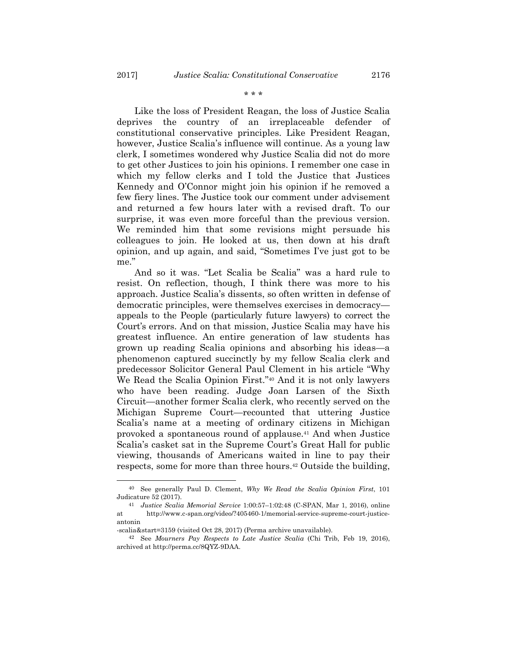\* \* \*

Like the loss of President Reagan, the loss of Justice Scalia deprives the country of an irreplaceable defender of constitutional conservative principles. Like President Reagan, however, Justice Scalia's influence will continue. As a young law clerk, I sometimes wondered why Justice Scalia did not do more to get other Justices to join his opinions. I remember one case in which my fellow clerks and I told the Justice that Justices Kennedy and O'Connor might join his opinion if he removed a few fiery lines. The Justice took our comment under advisement and returned a few hours later with a revised draft. To our surprise, it was even more forceful than the previous version. We reminded him that some revisions might persuade his colleagues to join. He looked at us, then down at his draft opinion, and up again, and said, "Sometimes I've just got to be me."

And so it was. "Let Scalia be Scalia" was a hard rule to resist. On reflection, though, I think there was more to his approach. Justice Scalia's dissents, so often written in defense of democratic principles, were themselves exercises in democracy appeals to the People (particularly future lawyers) to correct the Court's errors. And on that mission, Justice Scalia may have his greatest influence. An entire generation of law students has grown up reading Scalia opinions and absorbing his ideas—a phenomenon captured succinctly by my fellow Scalia clerk and predecessor Solicitor General Paul Clement in his article "Why We Read the Scalia Opinion First."40 And it is not only lawyers who have been reading. Judge Joan Larsen of the Sixth Circuit—another former Scalia clerk, who recently served on the Michigan Supreme Court—recounted that uttering Justice Scalia's name at a meeting of ordinary citizens in Michigan provoked a spontaneous round of applause.41 And when Justice Scalia's casket sat in the Supreme Court's Great Hall for public viewing, thousands of Americans waited in line to pay their respects, some for more than three hours.<sup>42</sup> Outside the building,

 <sup>40</sup> See generally Paul D. Clement, *Why We Read the Scalia Opinion First*, 101 Judicature 52 (2017).

<sup>41</sup> *Justice Scalia Memorial Service* 1:00:57–1:02:48 (C-SPAN, Mar 1, 2016), online at http://www.c-span.org/video/?405460-1/memorial-service-supreme-court-justiceantonin

<sup>-</sup>scalia&start=3159 (visited Oct 28, 2017) (Perma archive unavailable).

<sup>42</sup> See *Mourners Pay Respects to Late Justice Scalia* (Chi Trib, Feb 19, 2016), archived at http://perma.cc/8QYZ-9DAA.